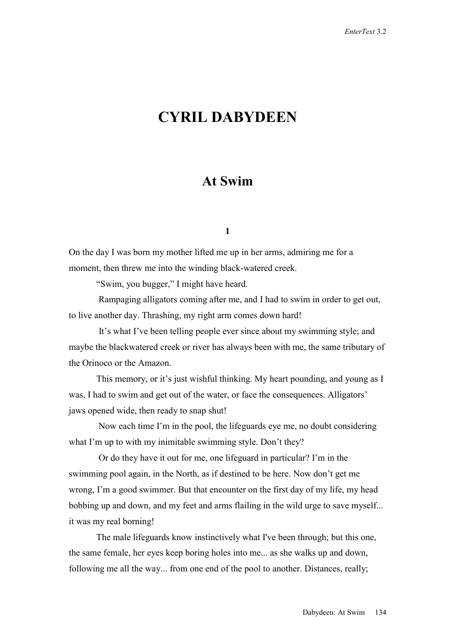# **CYRIL DABYDEEN**

# **At Swim**

**1** 

On the day I was born my mother lifted me up in her arms, admiring me for a moment, then threw me into the winding black-watered creek.

"Swim, you bugger," I might have heard.

 Rampaging alligators coming after me, and I had to swim in order to get out, to live another day. Thrashing, my right arm comes down hard!

 It's what I've been telling people ever since about my swimming style; and maybe the blackwatered creek or river has always been with me, the same tributary of the Orinoco or the Amazon.

 This memory, or it's just wishful thinking. My heart pounding, and young as I was, I had to swim and get out of the water, or face the consequences. Alligators' jaws opened wide, then ready to snap shut!

 Now each time I'm in the pool, the lifeguards eye me, no doubt considering what I'm up to with my inimitable swimming style. Don't they?

 Or do they have it out for me, one lifeguard in particular? I'm in the swimming pool again, in the North, as if destined to be here. Now don't get me wrong, I'm a good swimmer. But that encounter on the first day of my life, my head bobbing up and down, and my feet and arms flailing in the wild urge to save myself... it was my real borning!

 The male lifeguards know instinctively what I've been through; but this one, the same female, her eyes keep boring holes into me... as she walks up and down, following me all the way... from one end of the pool to another. Distances, really;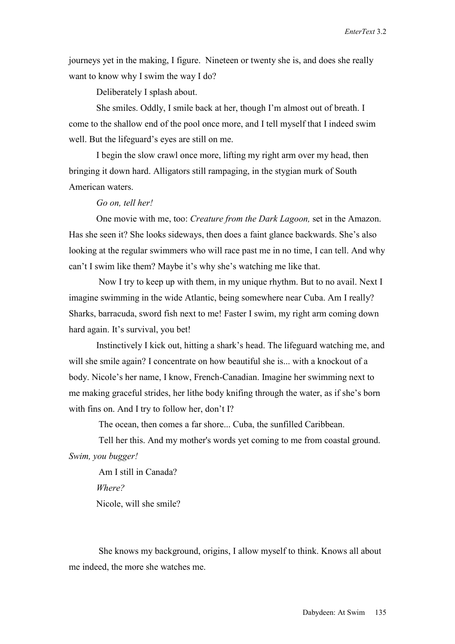journeys yet in the making, I figure. Nineteen or twenty she is, and does she really want to know why I swim the way I do?

Deliberately I splash about.

 She smiles. Oddly, I smile back at her, though I'm almost out of breath. I come to the shallow end of the pool once more, and I tell myself that I indeed swim well. But the lifeguard's eyes are still on me.

 I begin the slow crawl once more, lifting my right arm over my head, then bringing it down hard. Alligators still rampaging, in the stygian murk of South American waters.

#### *Go on, tell her!*

One movie with me, too: *Creature from the Dark Lagoon,* set in the Amazon. Has she seen it? She looks sideways, then does a faint glance backwards. She's also looking at the regular swimmers who will race past me in no time, I can tell. And why can't I swim like them? Maybe it's why she's watching me like that.

 Now I try to keep up with them, in my unique rhythm. But to no avail. Next I imagine swimming in the wide Atlantic, being somewhere near Cuba. Am I really? Sharks, barracuda, sword fish next to me! Faster I swim, my right arm coming down hard again. It's survival, you bet!

 Instinctively I kick out, hitting a shark's head. The lifeguard watching me, and will she smile again? I concentrate on how beautiful she is... with a knockout of a body. Nicole's her name, I know, French-Canadian. Imagine her swimming next to me making graceful strides, her lithe body knifing through the water, as if she's born with fins on. And I try to follow her, don't I?

The ocean, then comes a far shore... Cuba, the sunfilled Caribbean.

Tell her this. And my mother's words yet coming to me from coastal ground. *Swim, you bugger!* 

 Am I still in Canada? *Where?*  Nicole, will she smile?

 She knows my background, origins, I allow myself to think. Knows all about me indeed, the more she watches me.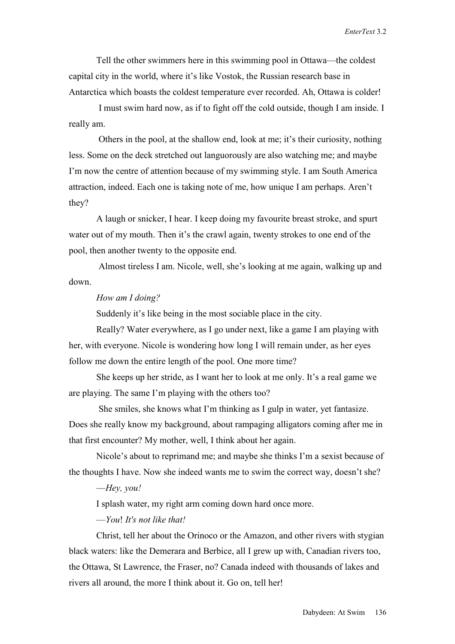Tell the other swimmers here in this swimming pool in Ottawa—the coldest capital city in the world, where it's like Vostok, the Russian research base in Antarctica which boasts the coldest temperature ever recorded. Ah, Ottawa is colder!

 I must swim hard now, as if to fight off the cold outside, though I am inside. I really am.

 Others in the pool, at the shallow end, look at me; it's their curiosity, nothing less. Some on the deck stretched out languorously are also watching me; and maybe I'm now the centre of attention because of my swimming style. I am South America attraction, indeed. Each one is taking note of me, how unique I am perhaps. Aren't they?

 A laugh or snicker, I hear. I keep doing my favourite breast stroke, and spurt water out of my mouth. Then it's the crawl again, twenty strokes to one end of the pool, then another twenty to the opposite end.

 Almost tireless I am. Nicole, well, she's looking at me again, walking up and down.

## *How am I doing?*

Suddenly it's like being in the most sociable place in the city.

 Really? Water everywhere, as I go under next, like a game I am playing with her, with everyone. Nicole is wondering how long I will remain under, as her eyes follow me down the entire length of the pool. One more time?

 She keeps up her stride, as I want her to look at me only. It's a real game we are playing. The same I'm playing with the others too?

 She smiles, she knows what I'm thinking as I gulp in water, yet fantasize. Does she really know my background, about rampaging alligators coming after me in that first encounter? My mother, well, I think about her again.

 Nicole's about to reprimand me; and maybe she thinks I'm a sexist because of the thoughts I have. Now she indeed wants me to swim the correct way, doesn't she?

#### —*Hey, you!*

I splash water, my right arm coming down hard once more.

#### —*You*! *It's not like that!*

 Christ, tell her about the Orinoco or the Amazon, and other rivers with stygian black waters: like the Demerara and Berbice, all I grew up with, Canadian rivers too, the Ottawa, St Lawrence, the Fraser, no? Canada indeed with thousands of lakes and rivers all around, the more I think about it. Go on, tell her!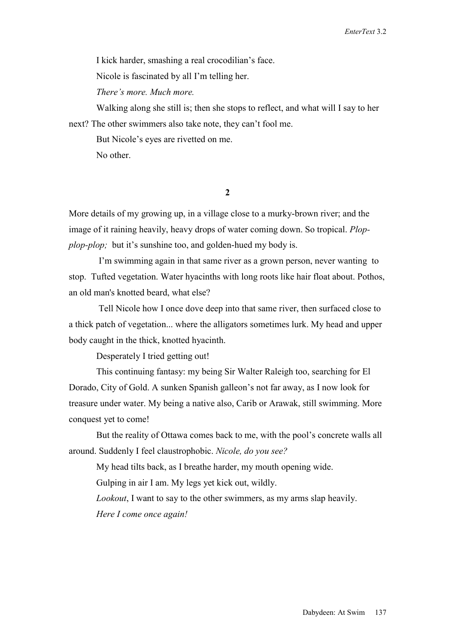I kick harder, smashing a real crocodilian's face.

Nicole is fascinated by all I'm telling her.

*There's more. Much more.*

 Walking along she still is; then she stops to reflect, and what will I say to her next? The other swimmers also take note, they can't fool me.

But Nicole's eyes are rivetted on me.

No other.

**2** 

More details of my growing up, in a village close to a murky-brown river; and the image of it raining heavily, heavy drops of water coming down. So tropical. *Plopplop-plop;* but it's sunshine too, and golden-hued my body is.

 I'm swimming again in that same river as a grown person, never wanting to stop. Tufted vegetation. Water hyacinths with long roots like hair float about. Pothos, an old man's knotted beard, what else?

 Tell Nicole how I once dove deep into that same river, then surfaced close to a thick patch of vegetation... where the alligators sometimes lurk. My head and upper body caught in the thick, knotted hyacinth.

Desperately I tried getting out!

 This continuing fantasy: my being Sir Walter Raleigh too, searching for El Dorado, City of Gold. A sunken Spanish galleon's not far away, as I now look for treasure under water. My being a native also, Carib or Arawak, still swimming. More conquest yet to come!

 But the reality of Ottawa comes back to me, with the pool's concrete walls all around. Suddenly I feel claustrophobic. *Nicole, do you see?*

My head tilts back, as I breathe harder, my mouth opening wide.

Gulping in air I am. My legs yet kick out, wildly.

 *Lookout*, I want to say to the other swimmers, as my arms slap heavily.  *Here I come once again!*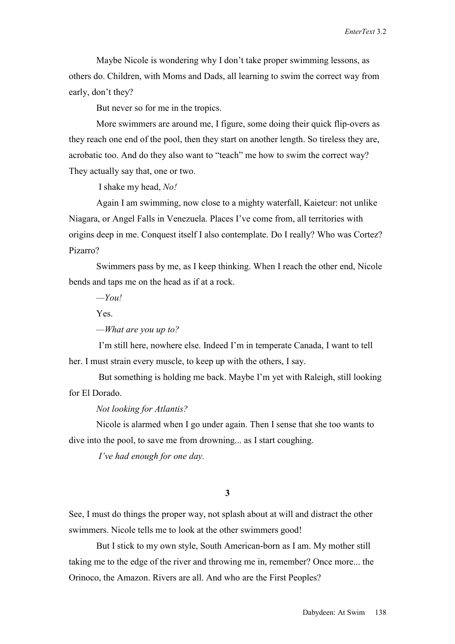Maybe Nicole is wondering why I don't take proper swimming lessons, as others do. Children, with Moms and Dads, all learning to swim the correct way from early, don't they?

But never so for me in the tropics.

 More swimmers are around me, I figure, some doing their quick flip-overs as they reach one end of the pool, then they start on another length. So tireless they are, acrobatic too. And do they also want to "teach" me how to swim the correct way? They actually say that, one or two.

I shake my head, *No!*

 Again I am swimming, now close to a mighty waterfall, Kaieteur: not unlike Niagara, or Angel Falls in Venezuela. Places I've come from, all territories with origins deep in me. Conquest itself I also contemplate. Do I really? Who was Cortez? Pizarro?

 Swimmers pass by me, as I keep thinking. When I reach the other end, Nicole bends and taps me on the head as if at a rock.

 *—You!*

Yes.

*—What are you up to?* 

 I'm still here, nowhere else. Indeed I'm in temperate Canada, I want to tell her. I must strain every muscle, to keep up with the others, I say.

 But something is holding me back. Maybe I'm yet with Raleigh, still looking for El Dorado.

### *Not looking for Atlantis?*

 Nicole is alarmed when I go under again. Then I sense that she too wants to dive into the pool, to save me from drowning... as I start coughing.

 *I've had enough for one day.*

**3** 

See, I must do things the proper way, not splash about at will and distract the other swimmers. Nicole tells me to look at the other swimmers good!

 But I stick to my own style, South American-born as I am. My mother still taking me to the edge of the river and throwing me in, remember? Once more... the Orinoco, the Amazon. Rivers are all. And who are the First Peoples?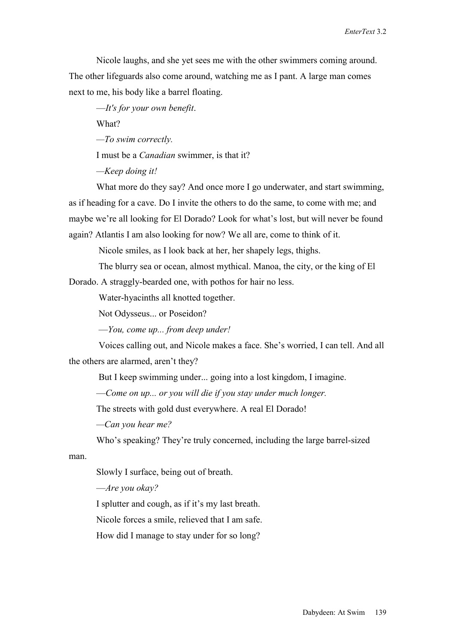Nicole laughs, and she yet sees me with the other swimmers coming around. The other lifeguards also come around, watching me as I pant. A large man comes next to me, his body like a barrel floating.

—*It's for your own benefit*.

What?

*—To swim correctly.*

I must be a *Canadian* swimmer, is that it?

*—Keep doing it!*

What more do they say? And once more I go underwater, and start swimming, as if heading for a cave. Do I invite the others to do the same, to come with me; and maybe we're all looking for El Dorado? Look for what's lost, but will never be found again? Atlantis I am also looking for now? We all are, come to think of it.

Nicole smiles, as I look back at her, her shapely legs, thighs.

The blurry sea or ocean, almost mythical. Manoa, the city, or the king of El

Dorado. A straggly-bearded one, with pothos for hair no less.

Water-hyacinths all knotted together.

Not Odysseus... or Poseidon?

—*You, come up... from deep under!*

 Voices calling out, and Nicole makes a face. She's worried, I can tell. And all the others are alarmed, aren't they?

But I keep swimming under... going into a lost kingdom, I imagine.

—*Come on up... or you will die if you stay under much longer.* 

The streets with gold dust everywhere. A real El Dorado!

*—Can you hear me?* 

Who's speaking? They're truly concerned, including the large barrel-sized

man.

Slowly I surface, being out of breath.

—*Are you okay?*

I splutter and cough, as if it's my last breath.

Nicole forces a smile, relieved that I am safe.

How did I manage to stay under for so long?